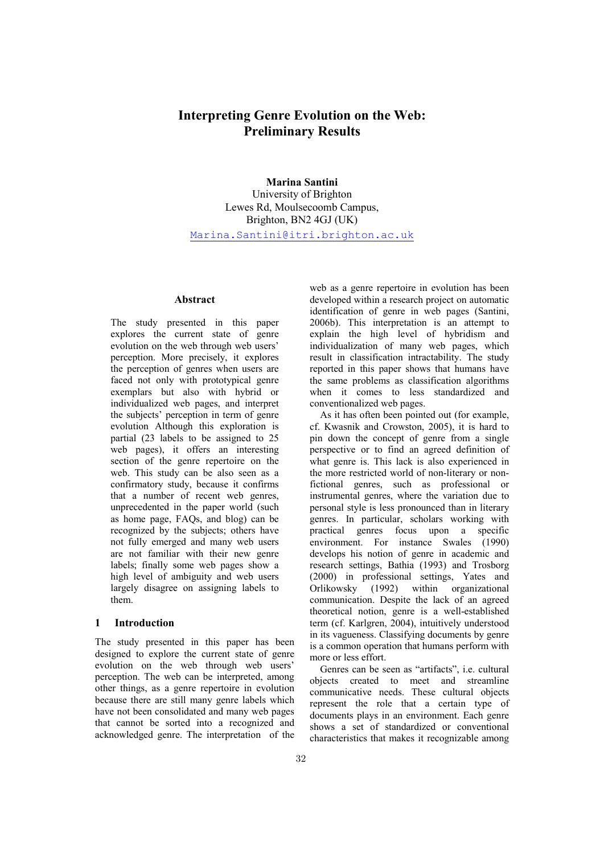# Interpreting Genre Evolution on the Web: Preliminary Results

# Marina Santini

University of Brighton Lewes Rd, Moulsecoomb Campus, Brighton, BN2 4GJ (UK) Marina.Santini@itri.brighton.ac.uk

# Abstract

The study presented in this paper explores the current state of genre evolution on the web through web users' perception. More precisely, it explores the perception of genres when users are faced not only with prototypical genre exemplars but also with hybrid or individualized web pages, and interpret the subjects' perception in term of genre evolution Although this exploration is partial (23 labels to be assigned to 25 web pages), it offers an interesting section of the genre repertoire on the web. This study can be also seen as a confirmatory study, because it confirms that a number of recent web genres, unprecedented in the paper world (such as home page, FAQs, and blog) can be recognized by the subjects; others have not fully emerged and many web users are not familiar with their new genre labels; finally some web pages show a high level of ambiguity and web users largely disagree on assigning labels to them.

# 1 Introduction

The study presented in this paper has been designed to explore the current state of genre evolution on the web through web users' perception. The web can be interpreted, among other things, as a genre repertoire in evolution because there are still many genre labels which have not been consolidated and many web pages that cannot be sorted into a recognized and acknowledged genre. The interpretation of the web as a genre repertoire in evolution has been developed within a research project on automatic identification of genre in web pages (Santini, 2006b). This interpretation is an attempt to explain the high level of hybridism and individualization of many web pages, which result in classification intractability. The study reported in this paper shows that humans have the same problems as classification algorithms when it comes to less standardized and conventionalized web pages.

As it has often been pointed out (for example, cf. Kwasnik and Crowston, 2005), it is hard to pin down the concept of genre from a single perspective or to find an agreed definition of what genre is. This lack is also experienced in the more restricted world of non-literary or nonfictional genres, such as professional or instrumental genres, where the variation due to personal style is less pronounced than in literary genres. In particular, scholars working with practical genres focus upon a specific environment. For instance Swales (1990) develops his notion of genre in academic and research settings, Bathia (1993) and Trosborg (2000) in professional settings, Yates and Orlikowsky (1992) within organizational communication. Despite the lack of an agreed theoretical notion, genre is a well-established term (cf. Karlgren, 2004), intuitively understood in its vagueness. Classifying documents by genre is a common operation that humans perform with more or less effort.

Genres can be seen as "artifacts", i.e. cultural objects created to meet and streamline communicative needs. These cultural objects represent the role that a certain type of documents plays in an environment. Each genre shows a set of standardized or conventional characteristics that makes it recognizable among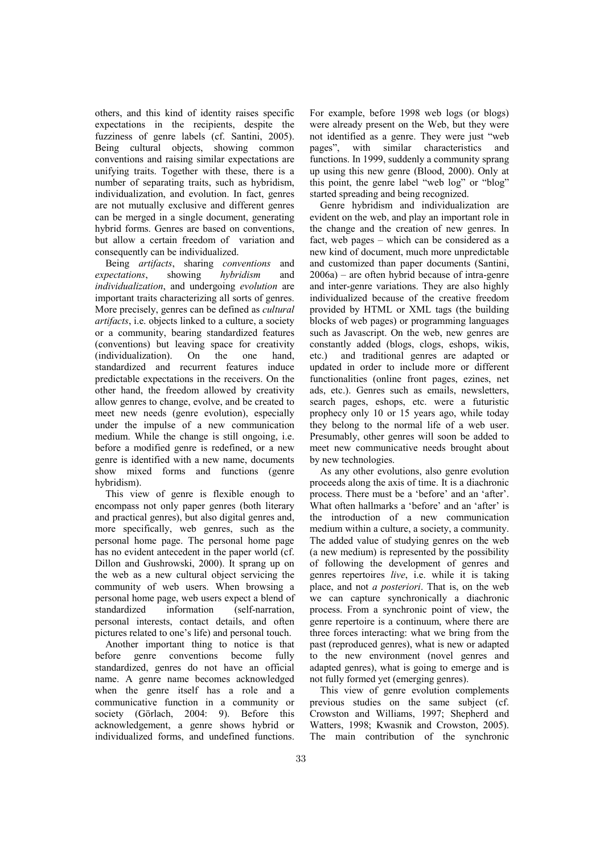others, and this kind of identity raises specific expectations in the recipients, despite the fuzziness of genre labels (cf. Santini, 2005). Being cultural objects, showing common conventions and raising similar expectations are unifying traits. Together with these, there is a number of separating traits, such as hybridism, individualization, and evolution. In fact, genres are not mutually exclusive and different genres can be merged in a single document, generating hybrid forms. Genres are based on conventions, but allow a certain freedom of variation and consequently can be individualized.

Being artifacts, sharing conventions and expectations, showing hybridism and individualization, and undergoing evolution are important traits characterizing all sorts of genres. More precisely, genres can be defined as cultural artifacts, i.e. objects linked to a culture, a society or a community, bearing standardized features (conventions) but leaving space for creativity (individualization). On the one hand, standardized and recurrent features induce predictable expectations in the receivers. On the other hand, the freedom allowed by creativity allow genres to change, evolve, and be created to meet new needs (genre evolution), especially under the impulse of a new communication medium. While the change is still ongoing, i.e. before a modified genre is redefined, or a new genre is identified with a new name, documents show mixed forms and functions (genre hybridism).

This view of genre is flexible enough to encompass not only paper genres (both literary and practical genres), but also digital genres and, more specifically, web genres, such as the personal home page. The personal home page has no evident antecedent in the paper world (cf. Dillon and Gushrowski, 2000). It sprang up on the web as a new cultural object servicing the community of web users. When browsing a personal home page, web users expect a blend of standardized information (self-narration, personal interests, contact details, and often pictures related to one's life) and personal touch.

Another important thing to notice is that before genre conventions become fully standardized, genres do not have an official name. A genre name becomes acknowledged when the genre itself has a role and a communicative function in a community or society (Görlach, 2004: 9). Before this acknowledgement, a genre shows hybrid or individualized forms, and undefined functions.

For example, before 1998 web logs (or blogs) were already present on the Web, but they were not identified as a genre. They were just "web pages", with similar characteristics and functions. In 1999, suddenly a community sprang up using this new genre (Blood, 2000). Only at this point, the genre label "web log" or "blog" started spreading and being recognized.

Genre hybridism and individualization are evident on the web, and play an important role in the change and the creation of new genres. In fact, web pages – which can be considered as a new kind of document, much more unpredictable and customized than paper documents (Santini, 2006a) – are often hybrid because of intra-genre and inter-genre variations. They are also highly individualized because of the creative freedom provided by HTML or XML tags (the building blocks of web pages) or programming languages such as Javascript. On the web, new genres are constantly added (blogs, clogs, eshops, wikis, etc.) and traditional genres are adapted or updated in order to include more or different functionalities (online front pages, ezines, net ads, etc.). Genres such as emails, newsletters, search pages, eshops, etc. were a futuristic prophecy only 10 or 15 years ago, while today they belong to the normal life of a web user. Presumably, other genres will soon be added to meet new communicative needs brought about by new technologies.

As any other evolutions, also genre evolution proceeds along the axis of time. It is a diachronic process. There must be a 'before' and an 'after'. What often hallmarks a 'before' and an 'after' is the introduction of a new communication medium within a culture, a society, a community. The added value of studying genres on the web (a new medium) is represented by the possibility of following the development of genres and genres repertoires live, i.e. while it is taking place, and not a posteriori. That is, on the web we can capture synchronically a diachronic process. From a synchronic point of view, the genre repertoire is a continuum, where there are three forces interacting: what we bring from the past (reproduced genres), what is new or adapted to the new environment (novel genres and adapted genres), what is going to emerge and is not fully formed yet (emerging genres).

This view of genre evolution complements previous studies on the same subject (cf. Crowston and Williams, 1997; Shepherd and Watters, 1998; Kwasnik and Crowston, 2005). The main contribution of the synchronic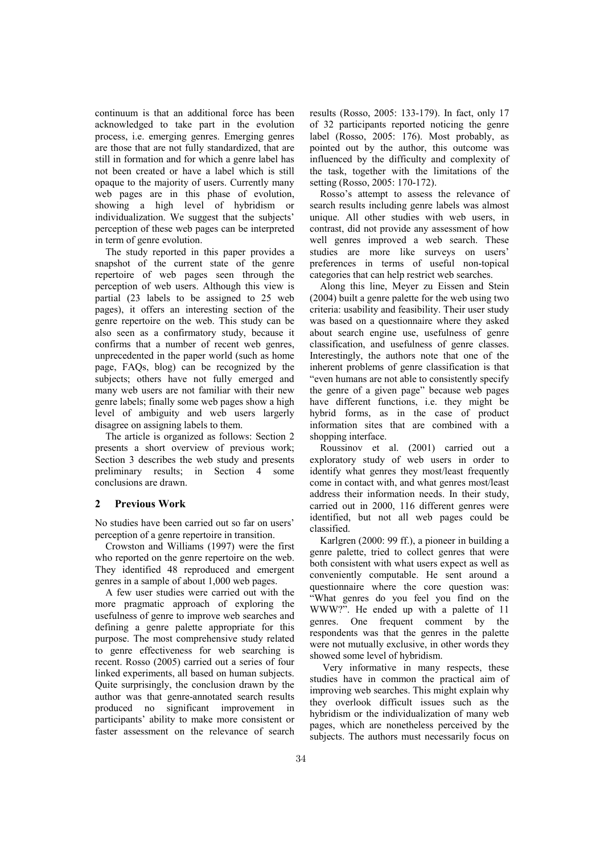continuum is that an additional force has been acknowledged to take part in the evolution process, i.e. emerging genres. Emerging genres are those that are not fully standardized, that are still in formation and for which a genre label has not been created or have a label which is still opaque to the majority of users. Currently many web pages are in this phase of evolution, showing a high level of hybridism or individualization. We suggest that the subjects' perception of these web pages can be interpreted in term of genre evolution.

The study reported in this paper provides a snapshot of the current state of the genre repertoire of web pages seen through the perception of web users. Although this view is partial (23 labels to be assigned to 25 web pages), it offers an interesting section of the genre repertoire on the web. This study can be also seen as a confirmatory study, because it confirms that a number of recent web genres, unprecedented in the paper world (such as home page, FAQs, blog) can be recognized by the subjects; others have not fully emerged and many web users are not familiar with their new genre labels; finally some web pages show a high level of ambiguity and web users largerly disagree on assigning labels to them.

The article is organized as follows: Section 2 presents a short overview of previous work; Section 3 describes the web study and presents preliminary results; in Section 4 some conclusions are drawn.

### 2 Previous Work

No studies have been carried out so far on users' perception of a genre repertoire in transition.

Crowston and Williams (1997) were the first who reported on the genre repertoire on the web. They identified 48 reproduced and emergent genres in a sample of about 1,000 web pages.

A few user studies were carried out with the more pragmatic approach of exploring the usefulness of genre to improve web searches and defining a genre palette appropriate for this purpose. The most comprehensive study related to genre effectiveness for web searching is recent. Rosso (2005) carried out a series of four linked experiments, all based on human subjects. Quite surprisingly, the conclusion drawn by the author was that genre-annotated search results produced no significant improvement in participants' ability to make more consistent or faster assessment on the relevance of search results (Rosso, 2005: 133-179). In fact, only 17 of 32 participants reported noticing the genre label (Rosso, 2005: 176). Most probably, as pointed out by the author, this outcome was influenced by the difficulty and complexity of the task, together with the limitations of the setting (Rosso, 2005: 170-172).

Rosso's attempt to assess the relevance of search results including genre labels was almost unique. All other studies with web users, in contrast, did not provide any assessment of how well genres improved a web search. These studies are more like surveys on users' preferences in terms of useful non-topical categories that can help restrict web searches.

Along this line, Meyer zu Eissen and Stein (2004) built a genre palette for the web using two criteria: usability and feasibility. Their user study was based on a questionnaire where they asked about search engine use, usefulness of genre classification, and usefulness of genre classes. Interestingly, the authors note that one of the inherent problems of genre classification is that "even humans are not able to consistently specify the genre of a given page" because web pages have different functions, i.e. they might be hybrid forms, as in the case of product information sites that are combined with a shopping interface.

Roussinov et al. (2001) carried out a exploratory study of web users in order to identify what genres they most/least frequently come in contact with, and what genres most/least address their information needs. In their study, carried out in 2000, 116 different genres were identified, but not all web pages could be classified.

Karlgren (2000: 99 ff.), a pioneer in building a genre palette, tried to collect genres that were both consistent with what users expect as well as conveniently computable. He sent around a questionnaire where the core question was: "What genres do you feel you find on the WWW?". He ended up with a palette of 11 genres. One frequent comment by the respondents was that the genres in the palette were not mutually exclusive, in other words they showed some level of hybridism.

 Very informative in many respects, these studies have in common the practical aim of improving web searches. This might explain why they overlook difficult issues such as the hybridism or the individualization of many web pages, which are nonetheless perceived by the subjects. The authors must necessarily focus on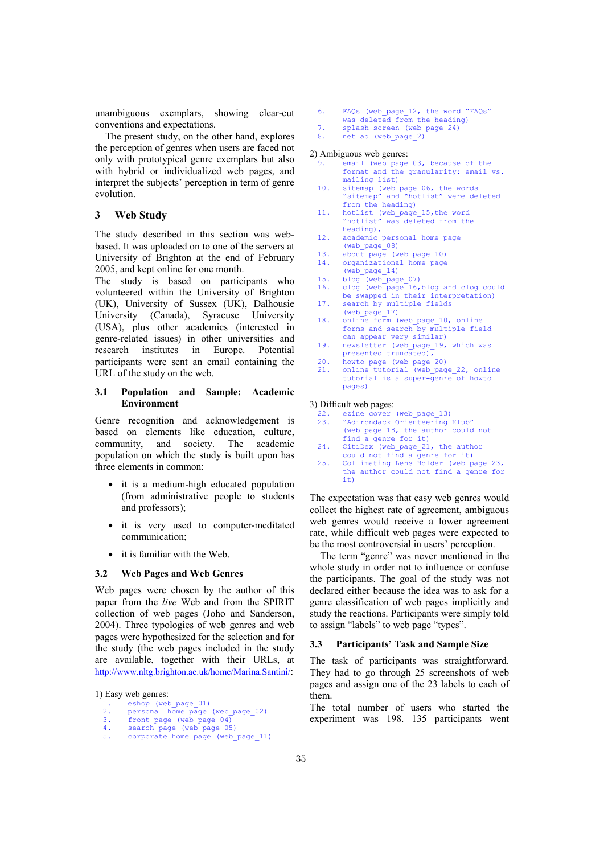unambiguous exemplars, showing clear-cut conventions and expectations.

The present study, on the other hand, explores the perception of genres when users are faced not only with prototypical genre exemplars but also with hybrid or individualized web pages, and interpret the subjects' perception in term of genre evolution.

# 3 Web Study

The study described in this section was webbased. It was uploaded on to one of the servers at University of Brighton at the end of February 2005, and kept online for one month.

The study is based on participants who volunteered within the University of Brighton (UK), University of Sussex (UK), Dalhousie University (Canada), Syracuse University (USA), plus other academics (interested in genre-related issues) in other universities and research institutes in Europe. Potential participants were sent an email containing the URL of the study on the web.

### 3.1 Population and Sample: Academic Environment

Genre recognition and acknowledgement is based on elements like education, culture, community, and society. The academic population on which the study is built upon has three elements in common:

- it is a medium-high educated population (from administrative people to students and professors);
- it is very used to computer-meditated communication;
- it is familiar with the Web.

#### 3.2 Web Pages and Web Genres

Web pages were chosen by the author of this paper from the live Web and from the SPIRIT collection of web pages (Joho and Sanderson, 2004). Three typologies of web genres and web pages were hypothesized for the selection and for the study (the web pages included in the study are available, together with their URLs, at http://www.nltg.brighton.ac.uk/home/Marina.Santini/:

1) Easy web genres:

| <b>.</b> | eshop (web page 01) |  |  |  |  |
|----------|---------------------|--|--|--|--|
|----------|---------------------|--|--|--|--|

- 2. personal home page (web\_page\_02)
- 3. front page (web\_page\_04)<br>4. search page (web page 05
- 4. search page (web\_page\_05)<br>5 corporate home page (web
- 6. FAQs (web\_page\_12, the word "FAQs"
- was deleted from the heading)
- 7. splash screen (web\_page\_24)<br>8. net ad (web page 2) net ad (web page 2)
- 

#### 2) Ambiguous web genres:

- 9. email (web\_page\_03, because of the format and the granularity: email vs. mailing list)
- 10. sitemap (web page 06, the words "sitemap" and "hotlist" were deleted from the heading)
- 11. hotlist (web\_page\_15,the word "hotlist" was deleted from the heading),
- 12. academic personal home page (web\_page\_08)
- 13. about page (web\_page\_10)
- 14. organizational home page
- $(web\ page\ 14)$
- 15. blog (web\_page\_07)
- 16. clog (web\_page\_16,blog and clog could be swapped in their interpretation)
- 17. search by multiple fields (web\_page\_17) 18. online form (web page 10, online
- forms and search by multiple field can appear very similar)
- 19. newsletter (web\_page\_19, which was presented  $\frac{1}{\sqrt{2}}$
- 20. howto page (web\_page\_20)<br>21. online tutorial (web pag
- online tutorial (web<sup>page 22, online</sup> tutorial is a super-genre of howto pages)

#### 3) Difficult web pages:

- 22. ezine cover (web\_page\_13)<br>23. "Adirondack Orienteering
- "Adirondack Orienteering Klub" (web page 18, the author could not find a genre for it)
- 24. CitiDex (web\_page\_21, the author could not find a genre for it)
- 25. Collimating Lens Holder (web page 23, the author could not find a genre for  $i + 1$

The expectation was that easy web genres would collect the highest rate of agreement, ambiguous web genres would receive a lower agreement rate, while difficult web pages were expected to be the most controversial in users' perception.

The term "genre" was never mentioned in the whole study in order not to influence or confuse the participants. The goal of the study was not declared either because the idea was to ask for a genre classification of web pages implicitly and study the reactions. Participants were simply told to assign "labels" to web page "types".

### 3.3 Participants' Task and Sample Size

The task of participants was straightforward. They had to go through 25 screenshots of web pages and assign one of the 23 labels to each of them.

The total number of users who started the experiment was 198. 135 participants went

corporate home page (web\_page\_11)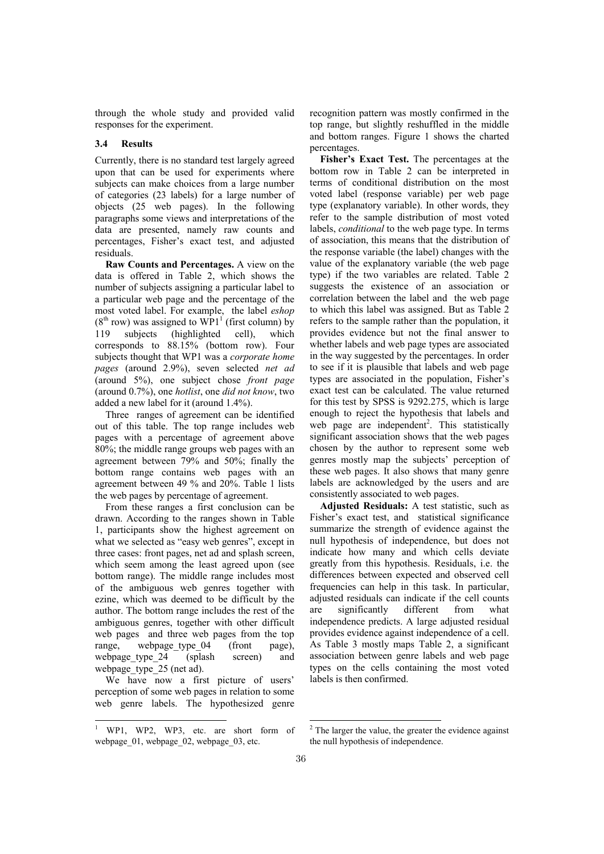through the whole study and provided valid responses for the experiment.

### 3.4 Results

Currently, there is no standard test largely agreed upon that can be used for experiments where subjects can make choices from a large number of categories (23 labels) for a large number of objects (25 web pages). In the following paragraphs some views and interpretations of the data are presented, namely raw counts and percentages, Fisher's exact test, and adjusted residuals.

Raw Counts and Percentages. A view on the data is offered in Table 2, which shows the number of subjects assigning a particular label to a particular web page and the percentage of the most voted label. For example, the label eshop  $(8<sup>th</sup> row)$  was assigned to WP1<sup>1</sup> (first column) by 119 subjects (highlighted cell), which corresponds to 88.15% (bottom row). Four subjects thought that WP1 was a *corporate home* pages (around 2.9%), seven selected net ad (around 5%), one subject chose front page (around 0.7%), one hotlist, one did not know, two added a new label for it (around 1.4%).

Three ranges of agreement can be identified out of this table. The top range includes web pages with a percentage of agreement above 80%; the middle range groups web pages with an agreement between 79% and 50%; finally the bottom range contains web pages with an agreement between 49 % and 20%. Table 1 lists the web pages by percentage of agreement.

From these ranges a first conclusion can be drawn. According to the ranges shown in Table 1, participants show the highest agreement on what we selected as "easy web genres", except in three cases: front pages, net ad and splash screen, which seem among the least agreed upon (see bottom range). The middle range includes most of the ambiguous web genres together with ezine, which was deemed to be difficult by the author. The bottom range includes the rest of the ambiguous genres, together with other difficult web pages and three web pages from the top range, webpage type 04 (front page), webpage type 24 (splash screen) and webpage type 25 (net ad).

We have now a first picture of users' perception of some web pages in relation to some web genre labels. The hypothesized genre recognition pattern was mostly confirmed in the top range, but slightly reshuffled in the middle and bottom ranges. Figure 1 shows the charted percentages.

Fisher's Exact Test. The percentages at the bottom row in Table 2 can be interpreted in terms of conditional distribution on the most voted label (response variable) per web page type (explanatory variable). In other words, they refer to the sample distribution of most voted labels, conditional to the web page type. In terms of association, this means that the distribution of the response variable (the label) changes with the value of the explanatory variable (the web page type) if the two variables are related. Table 2 suggests the existence of an association or correlation between the label and the web page to which this label was assigned. But as Table 2 refers to the sample rather than the population, it provides evidence but not the final answer to whether labels and web page types are associated in the way suggested by the percentages. In order to see if it is plausible that labels and web page types are associated in the population, Fisher's exact test can be calculated. The value returned for this test by SPSS is 9292.275, which is large enough to reject the hypothesis that labels and web page are independent<sup>2</sup>. This statistically significant association shows that the web pages chosen by the author to represent some web genres mostly map the subjects' perception of these web pages. It also shows that many genre labels are acknowledged by the users and are consistently associated to web pages.

Adjusted Residuals: A test statistic, such as Fisher's exact test, and statistical significance summarize the strength of evidence against the null hypothesis of independence, but does not indicate how many and which cells deviate greatly from this hypothesis. Residuals, i.e. the differences between expected and observed cell frequencies can help in this task. In particular, adjusted residuals can indicate if the cell counts are significantly different from what independence predicts. A large adjusted residual provides evidence against independence of a cell. As Table 3 mostly maps Table 2, a significant association between genre labels and web page types on the cells containing the most voted labels is then confirmed.

<u>.</u>

<sup>1</sup> WP1, WP2, WP3, etc. are short form of webpage  $01$ , webpage  $02$ , webpage  $03$ , etc.

<sup>&</sup>lt;sup>2</sup> The larger the value, the greater the evidence against the null hypothesis of independence.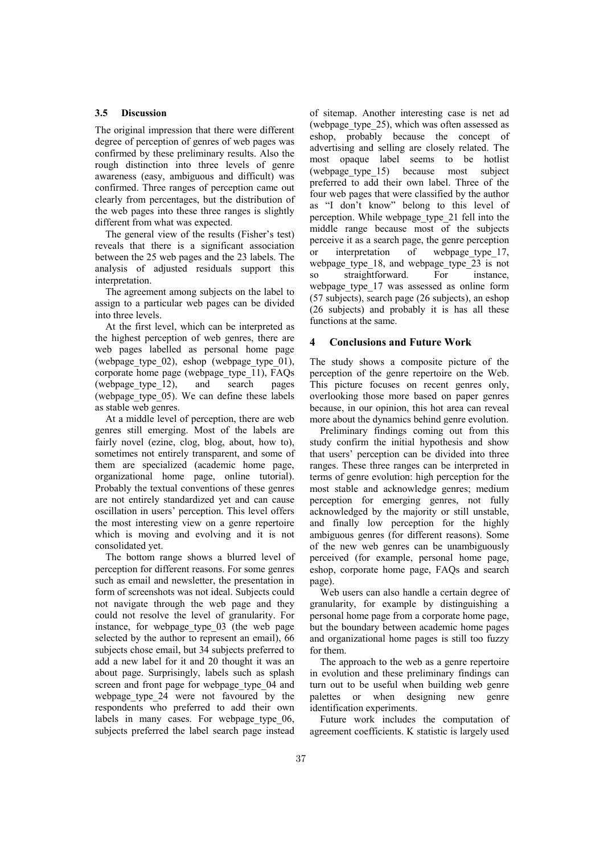### 3.5 Discussion

The original impression that there were different degree of perception of genres of web pages was confirmed by these preliminary results. Also the rough distinction into three levels of genre awareness (easy, ambiguous and difficult) was confirmed. Three ranges of perception came out clearly from percentages, but the distribution of the web pages into these three ranges is slightly different from what was expected.

The general view of the results (Fisher's test) reveals that there is a significant association between the 25 web pages and the 23 labels. The analysis of adjusted residuals support this interpretation.

The agreement among subjects on the label to assign to a particular web pages can be divided into three levels.

At the first level, which can be interpreted as the highest perception of web genres, there are web pages labelled as personal home page (webpage type  $02$ ), eshop (webpage type  $01$ ), corporate home page (webpage\_type\_11), FAQs (webpage\_type\_12), and search pages (webpage\_type\_05). We can define these labels as stable web genres.

At a middle level of perception, there are web genres still emerging. Most of the labels are fairly novel (ezine, clog, blog, about, how to), sometimes not entirely transparent, and some of them are specialized (academic home page, organizational home page, online tutorial). Probably the textual conventions of these genres are not entirely standardized yet and can cause oscillation in users' perception. This level offers the most interesting view on a genre repertoire which is moving and evolving and it is not consolidated yet.

The bottom range shows a blurred level of perception for different reasons. For some genres such as email and newsletter, the presentation in form of screenshots was not ideal. Subjects could not navigate through the web page and they could not resolve the level of granularity. For instance, for webpage type 03 (the web page selected by the author to represent an email), 66 subjects chose email, but 34 subjects preferred to add a new label for it and 20 thought it was an about page. Surprisingly, labels such as splash screen and front page for webpage type 04 and webpage\_type\_24 were not favoured by the respondents who preferred to add their own labels in many cases. For webpage type 06, subjects preferred the label search page instead of sitemap. Another interesting case is net ad (webpage\_type\_25), which was often assessed as eshop, probably because the concept of advertising and selling are closely related. The most opaque label seems to be hotlist<br>(webpage type 15) because most subject (webpage\_type\_15) because most subject preferred to add their own label. Three of the four web pages that were classified by the author as "I don't know" belong to this level of perception. While webpage\_type\_21 fell into the middle range because most of the subjects perceive it as a search page, the genre perception or interpretation of webpage type 17, webpage type 18, and webpage type 23 is not so straightforward. For instance, webpage type 17 was assessed as online form (57 subjects), search page (26 subjects), an eshop (26 subjects) and probably it is has all these functions at the same.

## 4 Conclusions and Future Work

The study shows a composite picture of the perception of the genre repertoire on the Web. This picture focuses on recent genres only, overlooking those more based on paper genres because, in our opinion, this hot area can reveal more about the dynamics behind genre evolution.

Preliminary findings coming out from this study confirm the initial hypothesis and show that users' perception can be divided into three ranges. These three ranges can be interpreted in terms of genre evolution: high perception for the most stable and acknowledge genres; medium perception for emerging genres, not fully acknowledged by the majority or still unstable, and finally low perception for the highly ambiguous genres (for different reasons). Some of the new web genres can be unambiguously perceived (for example, personal home page, eshop, corporate home page, FAQs and search page).

Web users can also handle a certain degree of granularity, for example by distinguishing a personal home page from a corporate home page, but the boundary between academic home pages and organizational home pages is still too fuzzy for them.

The approach to the web as a genre repertoire in evolution and these preliminary findings can turn out to be useful when building web genre palettes or when designing new genre identification experiments.

Future work includes the computation of agreement coefficients. K statistic is largely used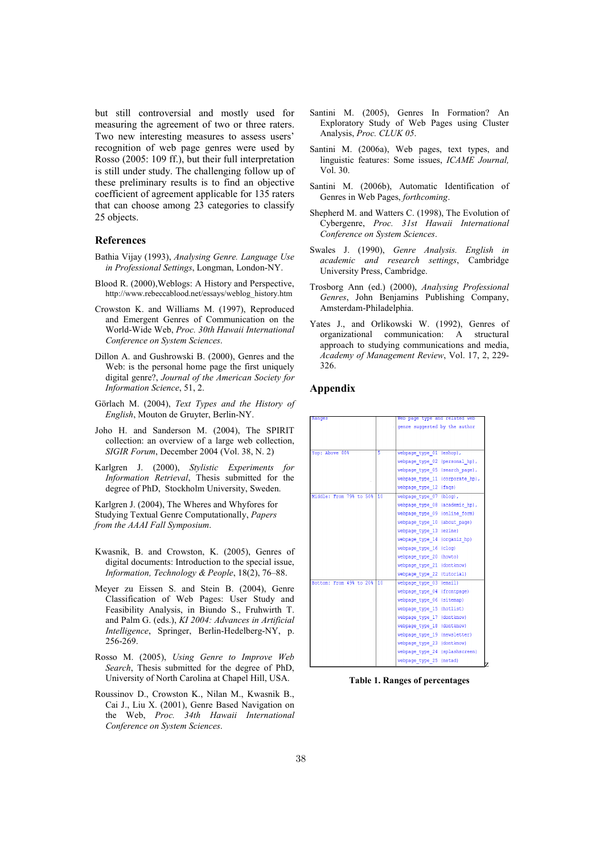but still controversial and mostly used for measuring the agreement of two or three raters. Two new interesting measures to assess users' recognition of web page genres were used by Rosso (2005: 109 ff.), but their full interpretation is still under study. The challenging follow up of these preliminary results is to find an objective coefficient of agreement applicable for 135 raters that can choose among 23 categories to classify 25 objects.

### References

- Bathia Vijay (1993), Analysing Genre. Language Use in Professional Settings, Longman, London-NY.
- Blood R. (2000),Weblogs: A History and Perspective, http://www.rebeccablood.net/essays/weblog\_history.htm
- Crowston K. and Williams M. (1997), Reproduced and Emergent Genres of Communication on the World-Wide Web, Proc. 30th Hawaii International Conference on System Sciences.
- Dillon A. and Gushrowski B. (2000), Genres and the Web: is the personal home page the first uniquely digital genre?, Journal of the American Society for Information Science, 51, 2.
- Görlach M. (2004), Text Types and the History of English, Mouton de Gruyter, Berlin-NY.
- Joho H. and Sanderson M. (2004), The SPIRIT collection: an overview of a large web collection, SIGIR Forum, December 2004 (Vol. 38, N. 2)
- Karlgren J. (2000), Stylistic Experiments for Information Retrieval, Thesis submitted for the degree of PhD, Stockholm University, Sweden.

Karlgren J. (2004), The Wheres and Whyfores for Studying Textual Genre Computationally, Papers from the AAAI Fall Symposium.

- Kwasnik, B. and Crowston, K. (2005), Genres of digital documents: Introduction to the special issue, Information, Technology & People, 18(2), 76–88.
- Meyer zu Eissen S. and Stein B. (2004), Genre Classification of Web Pages: User Study and Feasibility Analysis, in Biundo S., Fruhwirth T. and Palm G. (eds.), KI 2004: Advances in Artificial Intelligence, Springer, Berlin-Hedelberg-NY, p. 256-269.
- Rosso M. (2005), Using Genre to Improve Web Search, Thesis submitted for the degree of PhD, University of North Carolina at Chapel Hill, USA.
- Roussinov D., Crowston K., Nilan M., Kwasnik B., Cai J., Liu X. (2001), Genre Based Navigation on the Web, Proc. 34th Hawaii International Conference on System Sciences.
- Santini M. (2005), Genres In Formation? An Exploratory Study of Web Pages using Cluster Analysis, Proc. CLUK 05.
- Santini M. (2006a), Web pages, text types, and linguistic features: Some issues, ICAME Journal, Vol. 30.
- Santini M. (2006b), Automatic Identification of Genres in Web Pages, forthcoming.
- Shepherd M. and Watters C. (1998), The Evolution of Cybergenre, Proc. 31st Hawaii International Conference on System Sciences.
- Swales J. (1990), Genre Analysis. English in academic and research settings, Cambridge University Press, Cambridge.
- Trosborg Ann (ed.) (2000), Analysing Professional Genres, John Benjamins Publishing Company, Amsterdam-Philadelphia.
- Yates J., and Orlikowski W. (1992), Genres of organizational communication: A structural approach to studying communications and media, Academy of Management Review, Vol. 17, 2, 229- 326.

#### Appendix

|    | Web page type and related web   |  |
|----|---------------------------------|--|
|    | genre suggested by the author   |  |
|    |                                 |  |
|    |                                 |  |
| 5  | webpage type 01 (eshop),        |  |
|    | webpage type 02 (personal hp),  |  |
|    | webpage type 05 (search page),  |  |
|    | webpage type 11 (corporate hp), |  |
|    | webpage type 12 (faqs)          |  |
| 10 | webpage type 07 (blog),         |  |
|    | webpage type 08 (academic hp),  |  |
|    | webpage type 09 (online form)   |  |
|    | webpage type 10 (about page)    |  |
|    | webpage type 13 (ezine)         |  |
|    | webpage type 14 (organiz hp)    |  |
|    | webpage type 16 (clog)          |  |
|    | webpage type 20 (howto)         |  |
|    | webpage type 21 (dontknow)      |  |
|    | webpage type 22 (tutorial)      |  |
| 10 | webpage type 03 (email)         |  |
|    | webpage type 04 (frontpage)     |  |
|    | webpage type 06 (sitemap)       |  |
|    | webpage type 15 (hotlist)       |  |
|    | webpage type 17 (dontknow)      |  |
|    | webpage type 18 (dontknow)      |  |
|    | webpage type 19 (newsletter)    |  |
|    | webpage type 23 (dontknow)      |  |
|    | webpage type 24 (splashscreen)  |  |
|    | webpage type 25 (netad)         |  |
|    |                                 |  |

Table 1. Ranges of percentages